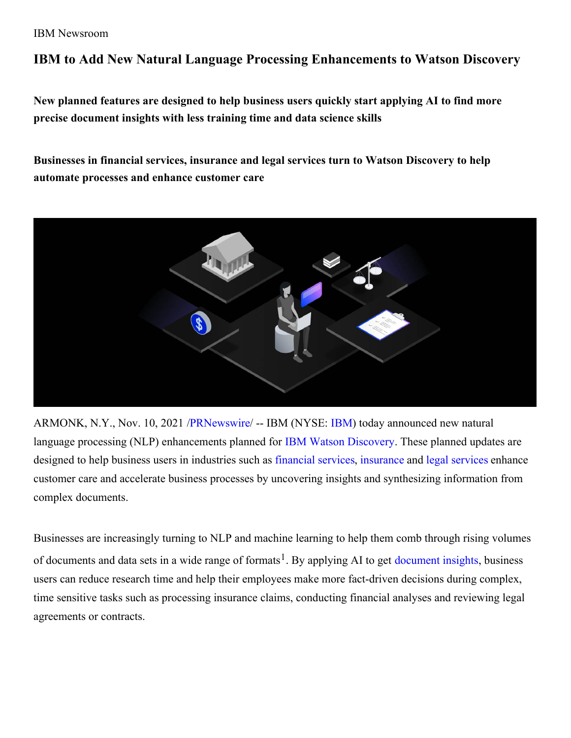### IBM Newsroom

# **IBM to Add New Natural Language Processing Enhancements to Watson Discovery**

**New planned features are designed to help business users quickly start applying AI to find more precise document insights with less training time and data science skills**

**Businesses in financial services, insurance and legal services turn to Watson Discovery to help automate processes and enhance customer care**



ARMONK, N.Y., Nov. 10, 2021 [/PRNewswire](http://www.prnewswire.com/)/ -- [IBM](https://c212.net/c/link/?t=0&l=en&o=3354087-1&h=3945013048&u=http%3A%2F%2Fwww.ibm.com%2Finvestor&a=IBM) (NYSE: IBM) today announced new natural language processing (NLP) enhancements planned for IBM Watson [Discovery](https://c212.net/c/link/?t=0&l=en&o=3354087-1&h=40236123&u=https%3A%2F%2Fwww.ibm.com%2Fcloud%2Fwatson-discovery&a=IBM+Watson+Discovery). These planned updates are designed to help business users in industries such as [financial](https://c212.net/c/link/?t=0&l=en&o=3354087-1&h=701228012&u=https%3A%2F%2Fwww.ibm.com%2Fcloud%2Fwatson-discovery%2Ffinancial-services&a=financial+services) services, [insurance](https://c212.net/c/link/?t=0&l=en&o=3354087-1&h=1733835317&u=https%3A%2F%2Fwww.ibm.com%2Fcloud%2Fwatson-discovery%2Finsurance&a=insurance) and legal [services](https://c212.net/c/link/?t=0&l=en&o=3354087-1&h=709338292&u=https%3A%2F%2Fwww.ibm.com%2Fcloud%2Fwatson-discovery%2Flegal-research&a=legal+services) enhance customer care and accelerate business processes by uncovering insights and synthesizing information from complex documents.

Businesses are increasingly turning to NLP and machine learning to help them comb through rising volumes of [document](https://c212.net/c/link/?t=0&l=en&o=3354087-1&h=1545621749&u=https%3A%2F%2Fwww.ibm.com%2Fcloud%2Fai%2Fai-document-insights&a=document+insights)s and data sets in a wide range of formats<sup>1</sup>. By applying AI to get document insights, business users can reduce research time and help their employees make more fact-driven decisions during complex, time sensitive tasks such as processing insurance claims, conducting financial analyses and reviewing legal agreements or contracts.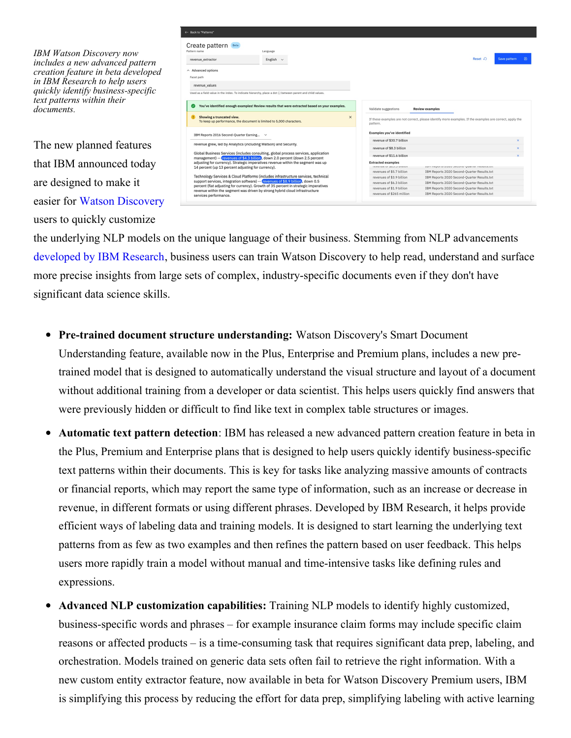*IBM Watson Discovery now includes a new advanced pattern creation feature in beta developed in IBM Research to help users quickly identify business-specific text patterns within their documents.*

The new planned features that IBM announced today are designed to make it easier for Watson [Discovery](https://c212.net/c/link/?t=0&l=en&o=3354087-1&h=415886681&u=https%3A%2F%2Fwww.ibm.com%2Fcloud%2Fwatson-discovery&a=Watson+Discovery) users to quickly customize

| ← Back to "Patterns"                                                                                                                                                                                                                                                                                                                        |                                                                                                                                                                        |
|---------------------------------------------------------------------------------------------------------------------------------------------------------------------------------------------------------------------------------------------------------------------------------------------------------------------------------------------|------------------------------------------------------------------------------------------------------------------------------------------------------------------------|
| Create pattern Beta<br>Pattern name<br>Language<br>English $\sim$<br>revenue extractor                                                                                                                                                                                                                                                      | Reset $\Omega$<br>Save pattern<br>囧                                                                                                                                    |
| $\land$ Advanced options<br>Facet path                                                                                                                                                                                                                                                                                                      |                                                                                                                                                                        |
| revenue values                                                                                                                                                                                                                                                                                                                              |                                                                                                                                                                        |
| Used as a field value in the index. To indicate hierarchy, place a dot (.) between parent and child values.                                                                                                                                                                                                                                 |                                                                                                                                                                        |
| You've identified enough examples! Review results that were extracted based on your examples.<br>$\omega$<br>Showing a truncated view.<br>$\times$<br>$\bullet$<br>To keep up performance, the document is limited to 5,000 characters.                                                                                                     | Validate suggestions<br><b>Review examples</b><br>If these examples are not correct, please identify more examples. If the examples are correct, apply the<br>pattern. |
| IBM Reports 2016 Second-Quarter Earning $\vee$                                                                                                                                                                                                                                                                                              | <b>Examples you've identified</b>                                                                                                                                      |
| revenue grew, led by Analytics (including Watson) and Security.                                                                                                                                                                                                                                                                             | revenue of \$30.7 billion<br>$\times$                                                                                                                                  |
|                                                                                                                                                                                                                                                                                                                                             | $\times$<br>revenue of \$8.3 billion                                                                                                                                   |
| Global Business Services (includes consulting, global process services, application                                                                                                                                                                                                                                                         | revenue of \$11.6 billion                                                                                                                                              |
| management) -- (revenues of \$4.3 billion), down 2.0 percent (down 2.5 percent<br>adjusting for currency). Strategic imperatives revenue within the segment was up<br>14 percent (up 13 percent adjusting for currency).                                                                                                                    | <b>Extracted examples</b><br>LOYOUNG ME WANT MINIMIT<br>THE UNDER TO TEMPLATATE AT A THE INTERNATIONAL                                                                 |
|                                                                                                                                                                                                                                                                                                                                             | revenues of \$5.7 billion<br>IBM Reports 2020 Second-Quarter Results.txt                                                                                               |
| Technology Services & Cloud Platforms (includes infrastructure services, technical<br>support services, integration software) -- revenues of \$8.9 billion, down 0.5<br>percent (flat adjusting for currency). Growth of 35 percent in strategic imperatives<br>revenue within the segment was driven by strong hybrid cloud infrastructure | revenues of \$3.9 billion<br>IBM Reports 2020 Second-Ouarter Results.txt                                                                                               |
|                                                                                                                                                                                                                                                                                                                                             | revenues of \$6.3 billion<br>IBM Reports 2020 Second-Quarter Results.txt                                                                                               |
|                                                                                                                                                                                                                                                                                                                                             | revenues of \$1.9 billion<br>IBM Reports 2020 Second-Ouarter Results.txt                                                                                               |
|                                                                                                                                                                                                                                                                                                                                             | revenues of \$265 million<br>IBM Reports 2020 Second-Ouarter Results.txt                                                                                               |

the underlying NLP models on the unique language of their business. Stemming from NLP advancements [developed](https://c212.net/c/link/?t=0&l=en&o=3354087-1&h=1692600138&u=https%3A%2F%2Fwww.research.ibm.com%2Fblog%2Fwatson-discovery-enhancements&a=developed+by+IBM+Research) by IBM Research, business users can train Watson Discovery to help read, understand and surface more precise insights from large sets of complex, industry-specific documents even if they don't have significant data science skills.

- **Pre-trained document structure understanding:** Watson Discovery's Smart Document Understanding feature, available now in the Plus, Enterprise and Premium plans, includes a new pretrained model that is designed to automatically understand the visual structure and layout of a document without additional training from a developer or data scientist. This helps users quickly find answers that were previously hidden or difficult to find like text in complex table structures or images.
- **Automatic text pattern detection**: IBM has released a new advanced pattern creation feature in beta in the Plus, Premium and Enterprise plans that is designed to help users quickly identify business-specific text patterns within their documents. This is key for tasks like analyzing massive amounts of contracts or financial reports, which may report the same type of information, such as an increase or decrease in revenue, in different formats or using different phrases. Developed by IBM Research, it helps provide efficient ways of labeling data and training models. It is designed to start learning the underlying text patterns from as few as two examples and then refines the pattern based on user feedback. This helps users more rapidly train a model without manual and time-intensive tasks like defining rules and expressions.
- **Advanced NLP customization capabilities:** Training NLP models to identify highly customized, business-specific words and phrases – for example insurance claim forms may include specific claim reasons or affected products – is a time-consuming task that requires significant data prep, labeling, and orchestration. Models trained on generic data sets often fail to retrieve the right information. With a new custom entity extractor feature, now available in beta for Watson Discovery Premium users, IBM is simplifying this process by reducing the effort for data prep, simplifying labeling with active learning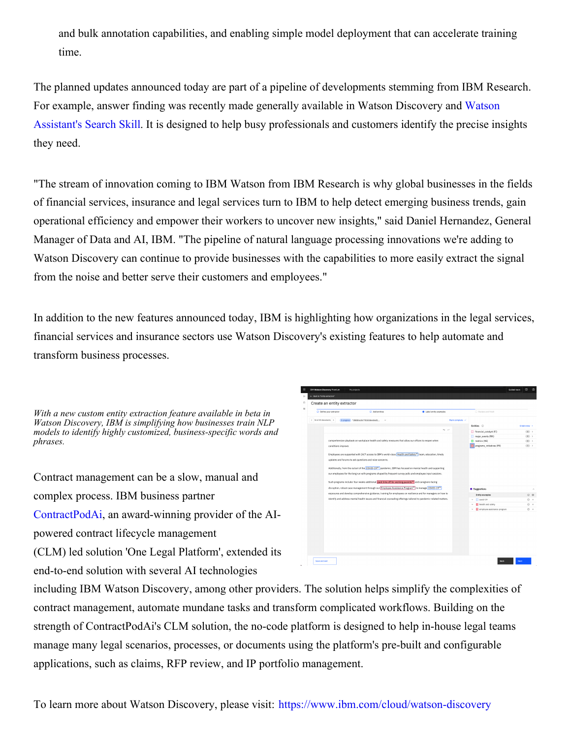and bulk annotation capabilities, and enabling simple model deployment that can accelerate training time.

The planned updates announced today are part of a pipeline of developments stemming from IBM Research. For example, answer finding was recently made generally available in Watson Discovery and Watson Assistant's Search Skill. It is designed to help busy [professionals](https://c212.net/c/link/?t=0&l=en&o=3354087-1&h=3748208575&u=https%3A%2F%2Fnewsroom.ibm.com%2F2021-09-09-IBM-Watson-Launches-New-AI-and-Automation-Features-to-Help-Businesses-Transform-Customer-Service&a=Watson+Assistant%27s+Search+Skill) and customers identify the precise insights they need.

"The stream of innovation coming to IBM Watson from IBM Research is why global businesses in the fields of financial services, insurance and legal services turn to IBM to help detect emerging business trends, gain operational efficiency and empower their workers to uncover new insights," said Daniel Hernandez, General Manager of Data and AI, IBM. "The pipeline of natural language processing innovations we're adding to Watson Discovery can continue to provide businesses with the capabilities to more easily extract the signal from the noise and better serve their customers and employees."

In addition to the new features announced today, IBM is highlighting how organizations in the legal services, financial services and insurance sectors use Watson Discovery's existing features to help automate and transform business processes.

*With a new custom entity extraction feature available in beta in Watson Discovery, IBM is simplifying how businesses train NLP models to identify highly customized, business-specific words and phrases.*

Contract management can be a slow, manual and complex process. IBM business partner [ContractPodAi](https://c212.net/c/link/?t=0&l=en&o=3354087-1&h=1568358381&u=https%3A%2F%2Furldefense.proofpoint.com%2Fv2%2Furl%3Fu%3Dhttps-3A__contractpodai.com_-3Futm-5Fsource-3Dnews-26utm-5Fmedium-3Dpress-2Drelease-26utm-5Fcampaign-3Dibm-2Dwatson-2Ddiscovery%26d%3DDwMGaQ%26c%3Djf_iaSHvJObTbx-siA1ZOg%26r%3DRDdhCie9q2T4UJcDsmsd61b4SkgBKsW1Z4kTkIA1LaE%26m%3DHVNb13MyzqvLhb6USjBP3jQhTEuLO8NXBjJQo8HTW3o%26s%3D9jb_3uYRDB7IllSj8jbaN_ABXyREbGWp5j7ozp-rq9Q%26e%3D&a=ContractPodAi), an award-winning provider of the AIpowered contract lifecycle management (CLM) led solution 'One Legal Platform', extended its end-to-end solution with several AI technologies



including IBM Watson Discovery, among other providers. The solution helps simplify the complexities of contract management, automate mundane tasks and transform complicated workflows. Building on the strength of ContractPodAi's CLM solution, the no-code platform is designed to help in-house legal teams manage many legal scenarios, processes, or documents using the platform's pre-built and configurable applications, such as claims, RFP review, and IP portfolio management.

To learn more about Watson Discovery, please visit: [https://www.ibm.com/cloud/watson-discovery](https://c212.net/c/link/?t=0&l=en&o=3354087-1&h=2608756937&u=https%3A%2F%2Fwww.ibm.com%2Fcloud%2Fwatson-discovery&a=https%3A%2F%2Fwww.ibm.com%2Fcloud%2Fwatson-discovery)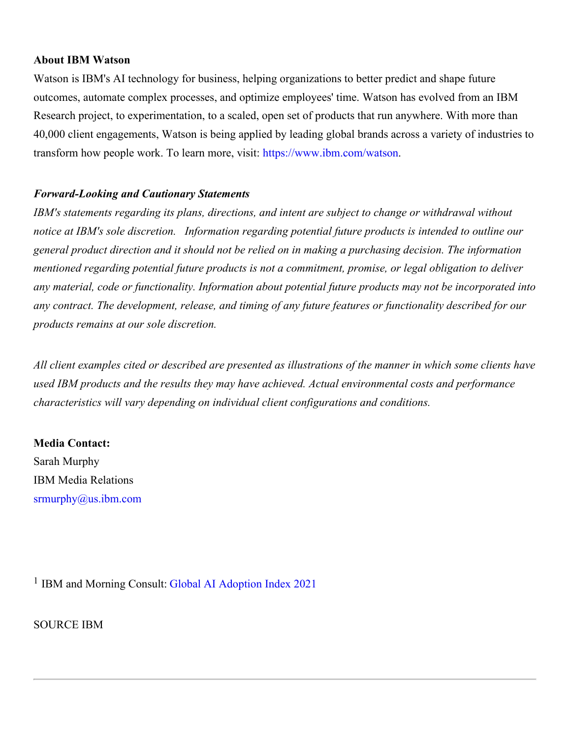### **About IBM Watson**

Watson is IBM's AI technology for business, helping organizations to better predict and shape future outcomes, automate complex processes, and optimize employees' time. Watson has evolved from an IBM Research project, to experimentation, to a scaled, open set of products that run anywhere. With more than 40,000 client engagements, Watson is being applied by leading global brands across a variety of industries to transform how people work. To learn more, visit: [https://www.ibm.com/watson](https://c212.net/c/link/?t=0&l=en&o=3354087-1&h=3980150975&u=https%3A%2F%2Fc212.net%2Fc%2Flink%2F%3Ft%3D0%26l%3Den%26o%3D3136766-1%26h%3D524446166%26u%3Dhttps%253A%252F%252Fwww.ibm.com%252Fwatson%26a%3Dhttps%253A%252F%252Fwww.ibm.com%252Fwatson&a=https%3A%2F%2Fwww.ibm.com%2Fwatson).

## *Forward-Looking and Cautionary Statements*

*IBM's statements regarding its plans, directions, and intent are subject to change or withdrawal without notice at IBM's sole discretion. Information regarding potential future products is intended to outline our general product direction and it should not be relied on in making a purchasing decision. The information mentioned regarding potential future products is not a commitment, promise, or legal obligation to deliver any material, code or functionality. Information about potential future products may not be incorporated into any contract. The development, release, and timing of any future features or functionality described for our products remains at our sole discretion.*

All client examples cited or described are presented as illustrations of the manner in which some clients have *used IBM products and the results they may have achieved. Actual environmental costs and performance characteristics will vary depending on individual client configurations and conditions.*

## **Media Contact:**

Sarah Murphy IBM Media Relations [srmurphy@us.ibm.com](mailto:srmurphy@us.ibm.com)

<sup>1</sup> IBM and Morning Consult: Global AI [Adoption](https://c212.net/c/link/?t=0&l=en&o=3354087-1&h=1795595938&u=https%3A%2F%2Fnewsroom.ibm.com%2FIBMs-Global-AI-Adoption-Index-2021&a=Global+AI+Adoption+Index+2021) Index 2021

SOURCE IBM